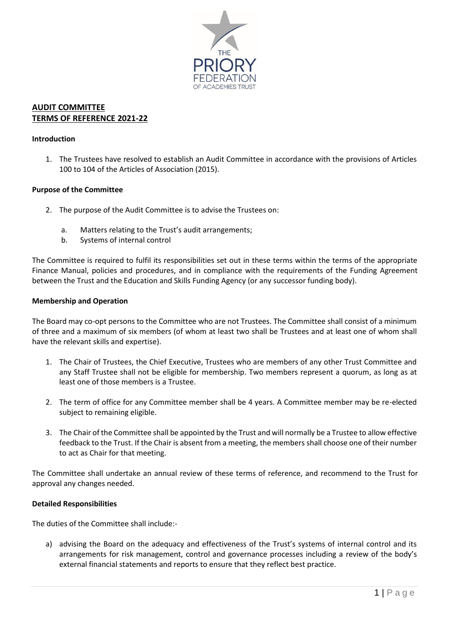

# **AUDIT COMMITTEE TERMS OF REFERENCE 2021-22**

### **Introduction**

1. The Trustees have resolved to establish an Audit Committee in accordance with the provisions of Articles 100 to 104 of the Articles of Association (2015).

### **Purpose of the Committee**

- 2. The purpose of the Audit Committee is to advise the Trustees on:
	- a. Matters relating to the Trust's audit arrangements;
	- b. Systems of internal control

The Committee is required to fulfil its responsibilities set out in these terms within the terms of the appropriate Finance Manual, policies and procedures, and in compliance with the requirements of the Funding Agreement between the Trust and the Education and Skills Funding Agency (or any successor funding body).

#### **Membership and Operation**

The Board may co-opt persons to the Committee who are not Trustees. The Committee shall consist of a minimum of three and a maximum of six members (of whom at least two shall be Trustees and at least one of whom shall have the relevant skills and expertise).

- 1. The Chair of Trustees, the Chief Executive, Trustees who are members of any other Trust Committee and any Staff Trustee shall not be eligible for membership. Two members represent a quorum, as long as at least one of those members is a Trustee.
- 2. The term of office for any Committee member shall be 4 years. A Committee member may be re-elected subject to remaining eligible.
- 3. The Chair of the Committee shall be appointed by the Trust and will normally be a Trustee to allow effective feedback to the Trust. If the Chair is absent from a meeting, the members shall choose one of their number to act as Chair for that meeting.

The Committee shall undertake an annual review of these terms of reference, and recommend to the Trust for approval any changes needed.

# **Detailed Responsibilities**

The duties of the Committee shall include:-

a) advising the Board on the adequacy and effectiveness of the Trust's systems of internal control and its arrangements for risk management, control and governance processes including a review of the body's external financial statements and reports to ensure that they reflect best practice.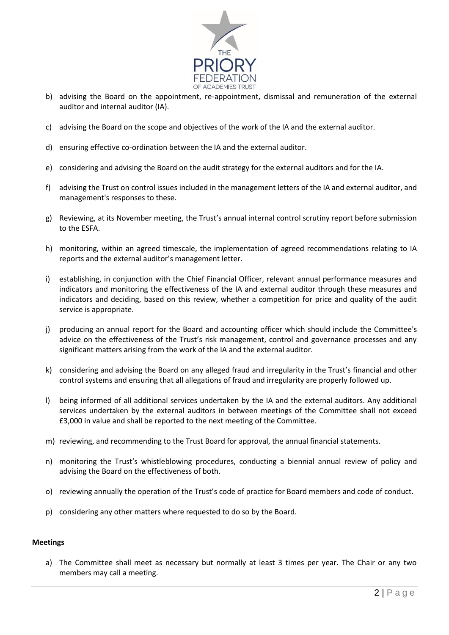

- b) advising the Board on the appointment, re-appointment, dismissal and remuneration of the external auditor and internal auditor (IA).
- c) advising the Board on the scope and objectives of the work of the IA and the external auditor.
- d) ensuring effective co-ordination between the IA and the external auditor.
- e) considering and advising the Board on the audit strategy for the external auditors and for the IA.
- f) advising the Trust on control issues included in the management letters of the IA and external auditor, and management's responses to these.
- g) Reviewing, at its November meeting, the Trust's annual internal control scrutiny report before submission to the ESFA.
- h) monitoring, within an agreed timescale, the implementation of agreed recommendations relating to IA reports and the external auditor's management letter.
- i) establishing, in conjunction with the Chief Financial Officer, relevant annual performance measures and indicators and monitoring the effectiveness of the IA and external auditor through these measures and indicators and deciding, based on this review, whether a competition for price and quality of the audit service is appropriate.
- j) producing an annual report for the Board and accounting officer which should include the Committee's advice on the effectiveness of the Trust's risk management, control and governance processes and any significant matters arising from the work of the IA and the external auditor.
- k) considering and advising the Board on any alleged fraud and irregularity in the Trust's financial and other control systems and ensuring that all allegations of fraud and irregularity are properly followed up.
- l) being informed of all additional services undertaken by the IA and the external auditors. Any additional services undertaken by the external auditors in between meetings of the Committee shall not exceed £3,000 in value and shall be reported to the next meeting of the Committee.
- m) reviewing, and recommending to the Trust Board for approval, the annual financial statements.
- n) monitoring the Trust's whistleblowing procedures, conducting a biennial annual review of policy and advising the Board on the effectiveness of both.
- o) reviewing annually the operation of the Trust's code of practice for Board members and code of conduct.
- p) considering any other matters where requested to do so by the Board.

# **Meetings**

a) The Committee shall meet as necessary but normally at least 3 times per year. The Chair or any two members may call a meeting.